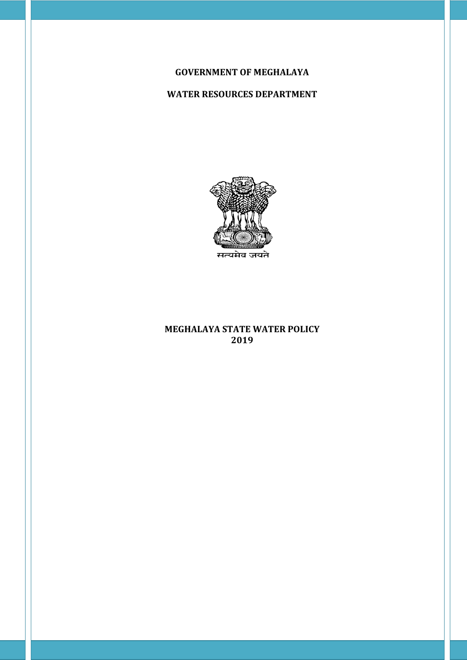## **GOVERNMENT OF MEGHALAYA**

# **WATER RESOURCES DEPARTMENT**



### **MEGHALAYA STATE WATER POLICY 2019**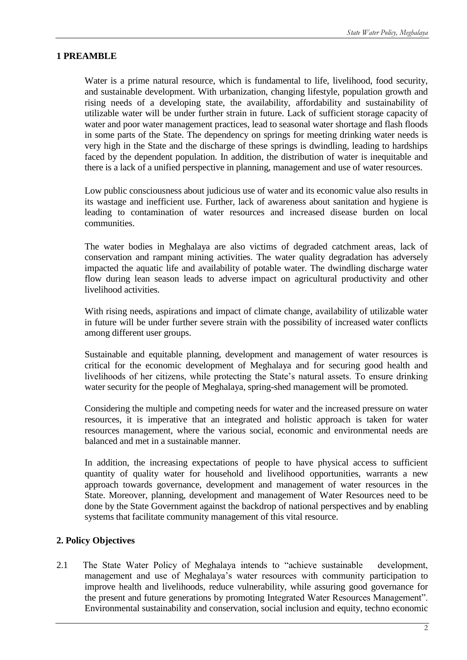## **1 PREAMBLE**

Water is a prime natural resource, which is fundamental to life, livelihood, food security, and sustainable development. With urbanization, changing lifestyle, population growth and rising needs of a developing state, the availability, affordability and sustainability of utilizable water will be under further strain in future. Lack of sufficient storage capacity of water and poor water management practices, lead to seasonal water shortage and flash floods in some parts of the State. The dependency on springs for meeting drinking water needs is very high in the State and the discharge of these springs is dwindling, leading to hardships faced by the dependent population. In addition, the distribution of water is inequitable and there is a lack of a unified perspective in planning, management and use of water resources.

Low public consciousness about judicious use of water and its economic value also results in its wastage and inefficient use. Further, lack of awareness about sanitation and hygiene is leading to contamination of water resources and increased disease burden on local communities.

The water bodies in Meghalaya are also victims of degraded catchment areas, lack of conservation and rampant mining activities. The water quality degradation has adversely impacted the aquatic life and availability of potable water. The dwindling discharge water flow during lean season leads to adverse impact on agricultural productivity and other livelihood activities.

With rising needs, aspirations and impact of climate change, availability of utilizable water in future will be under further severe strain with the possibility of increased water conflicts among different user groups.

Sustainable and equitable planning, development and management of water resources is critical for the economic development of Meghalaya and for securing good health and livelihoods of her citizens, while protecting the State's natural assets. To ensure drinking water security for the people of Meghalaya, spring-shed management will be promoted.

Considering the multiple and competing needs for water and the increased pressure on water resources, it is imperative that an integrated and holistic approach is taken for water resources management, where the various social, economic and environmental needs are balanced and met in a sustainable manner.

In addition, the increasing expectations of people to have physical access to sufficient quantity of quality water for household and livelihood opportunities, warrants a new approach towards governance, development and management of water resources in the State. Moreover, planning, development and management of Water Resources need to be done by the State Government against the backdrop of national perspectives and by enabling systems that facilitate community management of this vital resource.

## **2. Policy Objectives**

2.1 The State Water Policy of Meghalaya intends to "achieve sustainable development, management and use of Meghalaya's water resources with community participation to improve health and livelihoods, reduce vulnerability, while assuring good governance for the present and future generations by promoting Integrated Water Resources Management". Environmental sustainability and conservation, social inclusion and equity, techno economic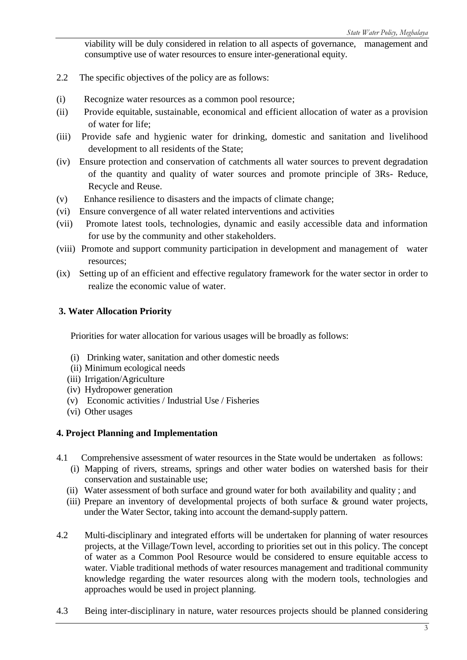viability will be duly considered in relation to all aspects of governance, management and consumptive use of water resources to ensure inter-generational equity.

- 2.2 The specific objectives of the policy are as follows:
- (i) Recognize water resources as a common pool resource;
- (ii) Provide equitable, sustainable, economical and efficient allocation of water as a provision of water for life;
- (iii) Provide safe and hygienic water for drinking, domestic and sanitation and livelihood development to all residents of the State;
- (iv) Ensure protection and conservation of catchments all water sources to prevent degradation of the quantity and quality of water sources and promote principle of 3Rs- Reduce, Recycle and Reuse.
- (v) Enhance resilience to disasters and the impacts of climate change;
- (vi) Ensure convergence of all water related interventions and activities
- (vii) Promote latest tools, technologies, dynamic and easily accessible data and information for use by the community and other stakeholders.
- (viii) Promote and support community participation in development and management of water resources;
- (ix) Setting up of an efficient and effective regulatory framework for the water sector in order to realize the economic value of water.

### **3. Water Allocation Priority**

Priorities for water allocation for various usages will be broadly as follows:

- (i) Drinking water, sanitation and other domestic needs
- (ii) Minimum ecological needs
- (iii) Irrigation/Agriculture
- (iv) Hydropower generation
- (v) Economic activities / Industrial Use / Fisheries
- (vi) Other usages

#### **4. Project Planning and Implementation**

- 4.1 Comprehensive assessment of water resources in the State would be undertaken as follows:
	- (i) Mapping of rivers, streams, springs and other water bodies on watershed basis for their conservation and sustainable use;
	- (ii) Water assessment of both surface and ground water for both availability and quality ; and
	- (iii) Prepare an inventory of developmental projects of both surface & ground water projects, under the Water Sector, taking into account the demand-supply pattern.
- 4.2 Multi-disciplinary and integrated efforts will be undertaken for planning of water resources projects, at the Village/Town level, according to priorities set out in this policy. The concept of water as a Common Pool Resource would be considered to ensure equitable access to water. Viable traditional methods of water resources management and traditional community knowledge regarding the water resources along with the modern tools, technologies and approaches would be used in project planning.
- 4.3 Being inter-disciplinary in nature, water resources projects should be planned considering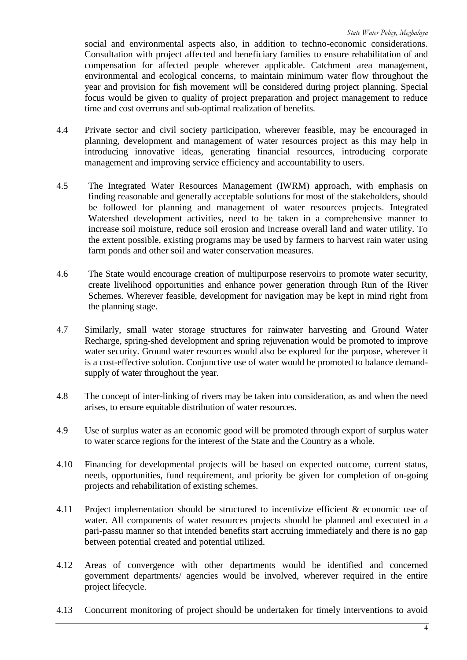social and environmental aspects also, in addition to techno-economic considerations. Consultation with project affected and beneficiary families to ensure rehabilitation of and compensation for affected people wherever applicable. Catchment area management, environmental and ecological concerns, to maintain minimum water flow throughout the year and provision for fish movement will be considered during project planning. Special focus would be given to quality of project preparation and project management to reduce time and cost overruns and sub-optimal realization of benefits.

- 4.4 Private sector and civil society participation, wherever feasible, may be encouraged in planning, development and management of water resources project as this may help in introducing innovative ideas, generating financial resources, introducing corporate management and improving service efficiency and accountability to users.
- 4.5 The Integrated Water Resources Management (IWRM) approach, with emphasis on finding reasonable and generally acceptable solutions for most of the stakeholders, should be followed for planning and management of water resources projects. Integrated Watershed development activities, need to be taken in a comprehensive manner to increase soil moisture, reduce soil erosion and increase overall land and water utility. To the extent possible, existing programs may be used by farmers to harvest rain water using farm ponds and other soil and water conservation measures.
- 4.6 The State would encourage creation of multipurpose reservoirs to promote water security, create livelihood opportunities and enhance power generation through Run of the River Schemes. Wherever feasible, development for navigation may be kept in mind right from the planning stage.
- 4.7 Similarly, small water storage structures for rainwater harvesting and Ground Water Recharge, spring-shed development and spring rejuvenation would be promoted to improve water security. Ground water resources would also be explored for the purpose, wherever it is a cost-effective solution. Conjunctive use of water would be promoted to balance demandsupply of water throughout the year.
- 4.8 The concept of inter-linking of rivers may be taken into consideration, as and when the need arises, to ensure equitable distribution of water resources.
- 4.9 Use of surplus water as an economic good will be promoted through export of surplus water to water scarce regions for the interest of the State and the Country as a whole.
- 4.10 Financing for developmental projects will be based on expected outcome, current status, needs, opportunities, fund requirement, and priority be given for completion of on-going projects and rehabilitation of existing schemes.
- 4.11 Project implementation should be structured to incentivize efficient & economic use of water. All components of water resources projects should be planned and executed in a pari-passu manner so that intended benefits start accruing immediately and there is no gap between potential created and potential utilized.
- 4.12 Areas of convergence with other departments would be identified and concerned government departments/ agencies would be involved, wherever required in the entire project lifecycle.
- 4.13 Concurrent monitoring of project should be undertaken for timely interventions to avoid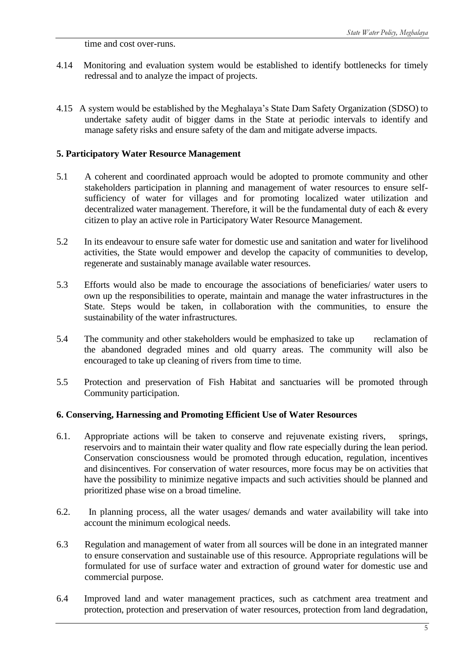time and cost over-runs.

- 4.14 Monitoring and evaluation system would be established to identify bottlenecks for timely redressal and to analyze the impact of projects.
- 4.15 A system would be established by the Meghalaya's State Dam Safety Organization (SDSO) to undertake safety audit of bigger dams in the State at periodic intervals to identify and manage safety risks and ensure safety of the dam and mitigate adverse impacts.

### **5. Participatory Water Resource Management**

- 5.1 A coherent and coordinated approach would be adopted to promote community and other stakeholders participation in planning and management of water resources to ensure selfsufficiency of water for villages and for promoting localized water utilization and decentralized water management. Therefore, it will be the fundamental duty of each & every citizen to play an active role in Participatory Water Resource Management.
- 5.2 In its endeavour to ensure safe water for domestic use and sanitation and water for livelihood activities, the State would empower and develop the capacity of communities to develop, regenerate and sustainably manage available water resources.
- 5.3 Efforts would also be made to encourage the associations of beneficiaries/ water users to own up the responsibilities to operate, maintain and manage the water infrastructures in the State. Steps would be taken, in collaboration with the communities, to ensure the sustainability of the water infrastructures.
- 5.4 The community and other stakeholders would be emphasized to take up reclamation of the abandoned degraded mines and old quarry areas. The community will also be encouraged to take up cleaning of rivers from time to time.
- 5.5 Protection and preservation of Fish Habitat and sanctuaries will be promoted through Community participation.

#### **6. Conserving, Harnessing and Promoting Efficient Use of Water Resources**

- 6.1. Appropriate actions will be taken to conserve and rejuvenate existing rivers, springs, reservoirs and to maintain their water quality and flow rate especially during the lean period. Conservation consciousness would be promoted through education, regulation, incentives and disincentives. For conservation of water resources, more focus may be on activities that have the possibility to minimize negative impacts and such activities should be planned and prioritized phase wise on a broad timeline.
- 6.2. In planning process, all the water usages/ demands and water availability will take into account the minimum ecological needs.
- 6.3 Regulation and management of water from all sources will be done in an integrated manner to ensure conservation and sustainable use of this resource. Appropriate regulations will be formulated for use of surface water and extraction of ground water for domestic use and commercial purpose.
- 6.4 Improved land and water management practices, such as catchment area treatment and protection, protection and preservation of water resources, protection from land degradation,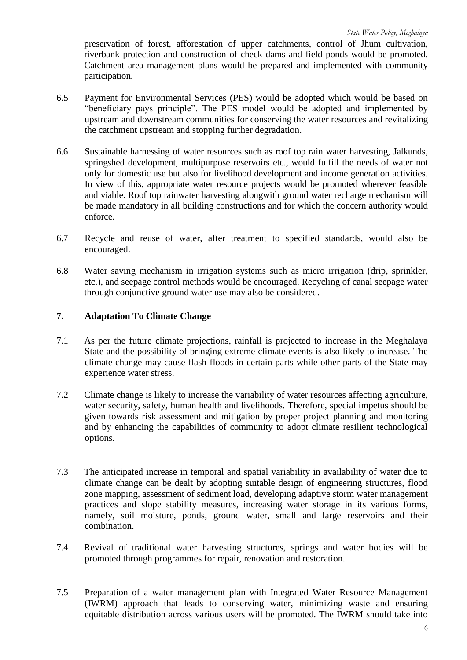preservation of forest, afforestation of upper catchments, control of Jhum cultivation, riverbank protection and construction of check dams and field ponds would be promoted. Catchment area management plans would be prepared and implemented with community participation.

- 6.5 Payment for Environmental Services (PES) would be adopted which would be based on "beneficiary pays principle". The PES model would be adopted and implemented by upstream and downstream communities for conserving the water resources and revitalizing the catchment upstream and stopping further degradation.
- 6.6 Sustainable harnessing of water resources such as roof top rain water harvesting, Jalkunds, springshed development, multipurpose reservoirs etc., would fulfill the needs of water not only for domestic use but also for livelihood development and income generation activities. In view of this, appropriate water resource projects would be promoted wherever feasible and viable. Roof top rainwater harvesting alongwith ground water recharge mechanism will be made mandatory in all building constructions and for which the concern authority would enforce.
- 6.7 Recycle and reuse of water, after treatment to specified standards, would also be encouraged.
- 6.8 Water saving mechanism in irrigation systems such as micro irrigation (drip, sprinkler, etc.), and seepage control methods would be encouraged. Recycling of canal seepage water through conjunctive ground water use may also be considered.

## **7. Adaptation To Climate Change**

- 7.1 As per the future climate projections, rainfall is projected to increase in the Meghalaya State and the possibility of bringing extreme climate events is also likely to increase. The climate change may cause flash floods in certain parts while other parts of the State may experience water stress.
- 7.2 Climate change is likely to increase the variability of water resources affecting agriculture, water security, safety, human health and livelihoods. Therefore, special impetus should be given towards risk assessment and mitigation by proper project planning and monitoring and by enhancing the capabilities of community to adopt climate resilient technological options.
- 7.3 The anticipated increase in temporal and spatial variability in availability of water due to climate change can be dealt by adopting suitable design of engineering structures, flood zone mapping, assessment of sediment load, developing adaptive storm water management practices and slope stability measures, increasing water storage in its various forms, namely, soil moisture, ponds, ground water, small and large reservoirs and their combination.
- 7.4 Revival of traditional water harvesting structures, springs and water bodies will be promoted through programmes for repair, renovation and restoration.
- 7.5 Preparation of a water management plan with Integrated Water Resource Management (IWRM) approach that leads to conserving water, minimizing waste and ensuring equitable distribution across various users will be promoted. The IWRM should take into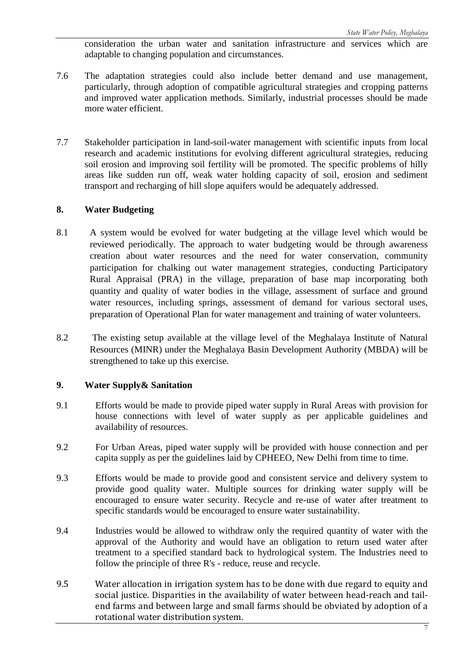consideration the urban water and sanitation infrastructure and services which are adaptable to changing population and circumstances.

- 7.6 The adaptation strategies could also include better demand and use management, particularly, through adoption of compatible agricultural strategies and cropping patterns and improved water application methods. Similarly, industrial processes should be made more water efficient.
- 7.7 Stakeholder participation in land-soil-water management with scientific inputs from local research and academic institutions for evolving different agricultural strategies, reducing soil erosion and improving soil fertility will be promoted. The specific problems of hilly areas like sudden run off, weak water holding capacity of soil, erosion and sediment transport and recharging of hill slope aquifers would be adequately addressed.

## **8. Water Budgeting**

- 8.1 A system would be evolved for water budgeting at the village level which would be reviewed periodically. The approach to water budgeting would be through awareness creation about water resources and the need for water conservation, community participation for chalking out water management strategies, conducting Participatory Rural Appraisal (PRA) in the village, preparation of base map incorporating both quantity and quality of water bodies in the village, assessment of surface and ground water resources, including springs, assessment of demand for various sectoral uses, preparation of Operational Plan for water management and training of water volunteers.
- 8.2 The existing setup available at the village level of the Meghalaya Institute of Natural Resources (MINR) under the Meghalaya Basin Development Authority (MBDA) will be strengthened to take up this exercise.

#### **9. Water Supply& Sanitation**

- 9.1 Efforts would be made to provide piped water supply in Rural Areas with provision for house connections with level of water supply as per applicable guidelines and availability of resources.
- 9.2 For Urban Areas, piped water supply will be provided with house connection and per capita supply as per the guidelines laid by CPHEEO, New Delhi from time to time.
- 9.3 Efforts would be made to provide good and consistent service and delivery system to provide good quality water. Multiple sources for drinking water supply will be encouraged to ensure water security. Recycle and re-use of water after treatment to specific standards would be encouraged to ensure water sustainability.
- 9.4 Industries would be allowed to withdraw only the required quantity of water with the approval of the Authority and would have an obligation to return used water after treatment to a specified standard back to hydrological system. The Industries need to follow the principle of three R's - reduce, reuse and recycle.
- 9.5 Water allocation in irrigation system has to be done with due regard to equity and social justice. Disparities in the availability of water between head-reach and tailend farms and between large and small farms should be obviated by adoption of a rotational water distribution system.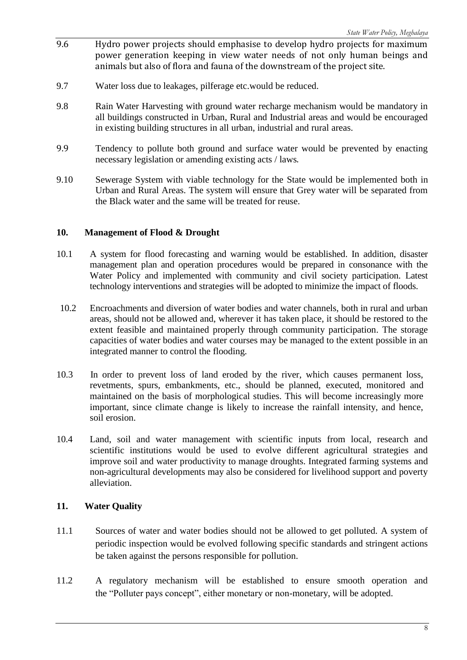- 9.6 Hydro power projects should emphasise to develop hydro projects for maximum power generation keeping in view water needs of not only human beings and animals but also of flora and fauna of the downstream of the project site.
- 9.7 Water loss due to leakages, pilferage etc.would be reduced.
- 9.8 Rain Water Harvesting with ground water recharge mechanism would be mandatory in all buildings constructed in Urban, Rural and Industrial areas and would be encouraged in existing building structures in all urban, industrial and rural areas.
- 9.9 Tendency to pollute both ground and surface water would be prevented by enacting necessary legislation or amending existing acts / laws.
- 9.10 Sewerage System with viable technology for the State would be implemented both in Urban and Rural Areas. The system will ensure that Grey water will be separated from the Black water and the same will be treated for reuse.

### **10. Management of Flood & Drought**

- 10.1 A system for flood forecasting and warning would be established. In addition, disaster management plan and operation procedures would be prepared in consonance with the Water Policy and implemented with community and civil society participation. Latest technology interventions and strategies will be adopted to minimize the impact of floods.
- 10.2 Encroachments and diversion of water bodies and water channels, both in rural and urban areas, should not be allowed and, wherever it has taken place, it should be restored to the extent feasible and maintained properly through community participation. The storage capacities of water bodies and water courses may be managed to the extent possible in an integrated manner to control the flooding.
- 10.3 In order to prevent loss of land eroded by the river, which causes permanent loss, revetments, spurs, embankments, etc., should be planned, executed, monitored and maintained on the basis of morphological studies. This will become increasingly more important, since climate change is likely to increase the rainfall intensity, and hence, soil erosion.
- 10.4 Land, soil and water management with scientific inputs from local, research and scientific institutions would be used to evolve different agricultural strategies and improve soil and water productivity to manage droughts. Integrated farming systems and non-agricultural developments may also be considered for livelihood support and poverty alleviation.

## **11. Water Quality**

- 11.1 Sources of water and water bodies should not be allowed to get polluted. A system of periodic inspection would be evolved following specific standards and stringent actions be taken against the persons responsible for pollution.
- 11.2 A regulatory mechanism will be established to ensure smooth operation and the "Polluter pays concept", either monetary or non-monetary, will be adopted.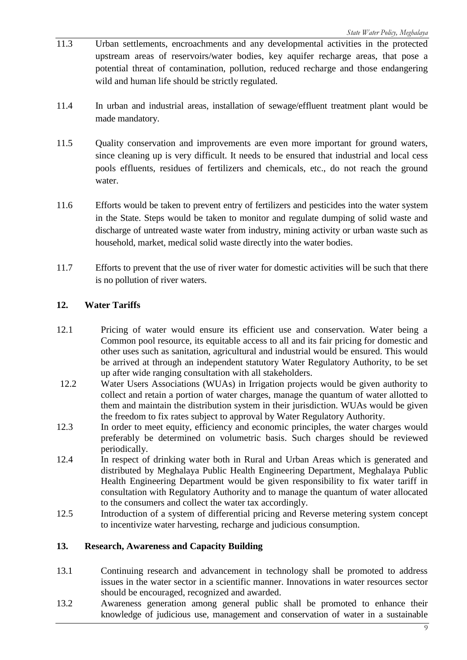- 11.3 Urban settlements, encroachments and any developmental activities in the protected upstream areas of reservoirs/water bodies, key aquifer recharge areas, that pose a potential threat of contamination, pollution, reduced recharge and those endangering wild and human life should be strictly regulated.
- 11.4 In urban and industrial areas, installation of sewage/effluent treatment plant would be made mandatory.
- 11.5 Quality conservation and improvements are even more important for ground waters, since cleaning up is very difficult. It needs to be ensured that industrial and local cess pools effluents, residues of fertilizers and chemicals, etc., do not reach the ground water.
- 11.6 Efforts would be taken to prevent entry of fertilizers and pesticides into the water system in the State. Steps would be taken to monitor and regulate dumping of solid waste and discharge of untreated waste water from industry, mining activity or urban waste such as household, market, medical solid waste directly into the water bodies.
- 11.7 Efforts to prevent that the use of river water for domestic activities will be such that there is no pollution of river waters.

## **12. Water Tariffs**

- 12.1 Pricing of water would ensure its efficient use and conservation. Water being a Common pool resource, its equitable access to all and its fair pricing for domestic and other uses such as sanitation, agricultural and industrial would be ensured. This would be arrived at through an independent statutory Water Regulatory Authority, to be set up after wide ranging consultation with all stakeholders.
- 12.2 Water Users Associations (WUAs) in Irrigation projects would be given authority to collect and retain a portion of water charges, manage the quantum of water allotted to them and maintain the distribution system in their jurisdiction. WUAs would be given the freedom to fix rates subject to approval by Water Regulatory Authority.
- 12.3 In order to meet equity, efficiency and economic principles, the water charges would preferably be determined on volumetric basis. Such charges should be reviewed periodically.
- 12.4 In respect of drinking water both in Rural and Urban Areas which is generated and distributed by Meghalaya Public Health Engineering Department, Meghalaya Public Health Engineering Department would be given responsibility to fix water tariff in consultation with Regulatory Authority and to manage the quantum of water allocated to the consumers and collect the water tax accordingly.
- 12.5 Introduction of a system of differential pricing and Reverse metering system concept to incentivize water harvesting, recharge and judicious consumption.

## **13. Research, Awareness and Capacity Building**

- 13.1 Continuing research and advancement in technology shall be promoted to address issues in the water sector in a scientific manner. Innovations in water resources sector should be encouraged, recognized and awarded.
- 13.2 Awareness generation among general public shall be promoted to enhance their knowledge of judicious use, management and conservation of water in a sustainable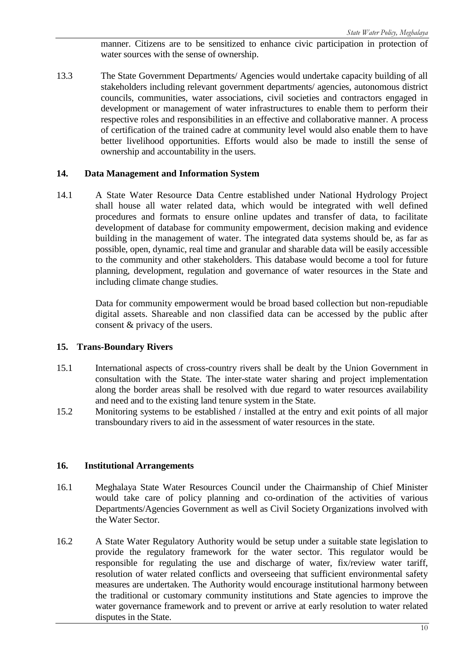manner. Citizens are to be sensitized to enhance civic participation in protection of water sources with the sense of ownership.

13.3 The State Government Departments/ Agencies would undertake capacity building of all stakeholders including relevant government departments/ agencies, autonomous district councils, communities, water associations, civil societies and contractors engaged in development or management of water infrastructures to enable them to perform their respective roles and responsibilities in an effective and collaborative manner. A process of certification of the trained cadre at community level would also enable them to have better livelihood opportunities. Efforts would also be made to instill the sense of ownership and accountability in the users.

#### **14. Data Management and Information System**

14.1 A State Water Resource Data Centre established under National Hydrology Project shall house all water related data, which would be integrated with well defined procedures and formats to ensure online updates and transfer of data, to facilitate development of database for community empowerment, decision making and evidence building in the management of water. The integrated data systems should be, as far as possible, open, dynamic, real time and granular and sharable data will be easily accessible to the community and other stakeholders. This database would become a tool for future planning, development, regulation and governance of water resources in the State and including climate change studies.

> Data for community empowerment would be broad based collection but non-repudiable digital assets. Shareable and non classified data can be accessed by the public after consent & privacy of the users.

#### **15. Trans-Boundary Rivers**

- 15.1 International aspects of cross-country rivers shall be dealt by the Union Government in consultation with the State. The inter-state water sharing and project implementation along the border areas shall be resolved with due regard to water resources availability and need and to the existing land tenure system in the State.
- 15.2 Monitoring systems to be established / installed at the entry and exit points of all major transboundary rivers to aid in the assessment of water resources in the state.

#### **16. Institutional Arrangements**

- 16.1 Meghalaya State Water Resources Council under the Chairmanship of Chief Minister would take care of policy planning and co-ordination of the activities of various Departments/Agencies Government as well as Civil Society Organizations involved with the Water Sector.
- 16.2 A State Water Regulatory Authority would be setup under a suitable state legislation to provide the regulatory framework for the water sector. This regulator would be responsible for regulating the use and discharge of water, fix/review water tariff, resolution of water related conflicts and overseeing that sufficient environmental safety measures are undertaken. The Authority would encourage institutional harmony between the traditional or customary community institutions and State agencies to improve the water governance framework and to prevent or arrive at early resolution to water related disputes in the State.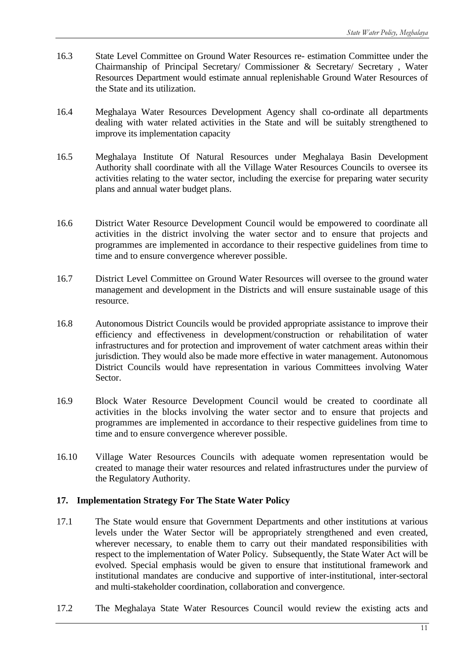- 16.3 State Level Committee on Ground Water Resources re- estimation Committee under the Chairmanship of Principal Secretary/ Commissioner & Secretary/ Secretary , Water Resources Department would estimate annual replenishable Ground Water Resources of the State and its utilization.
- 16.4 Meghalaya Water Resources Development Agency shall co-ordinate all departments dealing with water related activities in the State and will be suitably strengthened to improve its implementation capacity
- 16.5 Meghalaya Institute Of Natural Resources under Meghalaya Basin Development Authority shall coordinate with all the Village Water Resources Councils to oversee its activities relating to the water sector, including the exercise for preparing water security plans and annual water budget plans.
- 16.6 District Water Resource Development Council would be empowered to coordinate all activities in the district involving the water sector and to ensure that projects and programmes are implemented in accordance to their respective guidelines from time to time and to ensure convergence wherever possible.
- 16.7 District Level Committee on Ground Water Resources will oversee to the ground water management and development in the Districts and will ensure sustainable usage of this resource.
- 16.8 Autonomous District Councils would be provided appropriate assistance to improve their efficiency and effectiveness in development/construction or rehabilitation of water infrastructures and for protection and improvement of water catchment areas within their jurisdiction. They would also be made more effective in water management. Autonomous District Councils would have representation in various Committees involving Water Sector.
- 16.9 Block Water Resource Development Council would be created to coordinate all activities in the blocks involving the water sector and to ensure that projects and programmes are implemented in accordance to their respective guidelines from time to time and to ensure convergence wherever possible.
- 16.10 Village Water Resources Councils with adequate women representation would be created to manage their water resources and related infrastructures under the purview of the Regulatory Authority.

## **17. Implementation Strategy For The State Water Policy**

- 17.1 The State would ensure that Government Departments and other institutions at various levels under the Water Sector will be appropriately strengthened and even created, wherever necessary, to enable them to carry out their mandated responsibilities with respect to the implementation of Water Policy. Subsequently, the State Water Act will be evolved. Special emphasis would be given to ensure that institutional framework and institutional mandates are conducive and supportive of inter-institutional, inter-sectoral and multi-stakeholder coordination, collaboration and convergence.
- 17.2 The Meghalaya State Water Resources Council would review the existing acts and